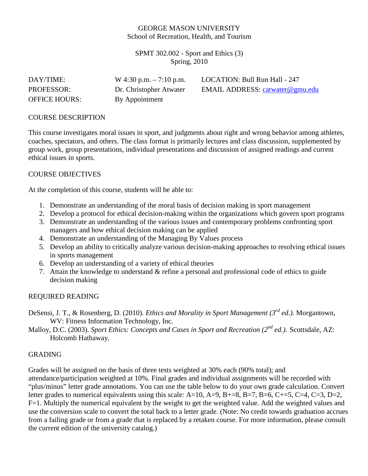## GEORGE MASON UNIVERSITY School of Recreation, Health, and Tourism

SPMT 302.002 - Sport and Ethics (3) Spring, 2010

| DAY/TIME:            | W 4:30 p.m. $-7:10$ p.m. | LOCATION: Bull Run Hall - 247   |
|----------------------|--------------------------|---------------------------------|
| <b>PROFESSOR:</b>    | Dr. Christopher Atwater  | EMAIL ADDRESS: catwater@gmu.edu |
| <b>OFFICE HOURS:</b> | By Appointment           |                                 |

### COURSE DESCRIPTION

This course investigates moral issues in sport, and judgments about right and wrong behavior among athletes, coaches, spectators, and others. The class format is primarily lectures and class discussion, supplemented by group work, group presentations, individual presentations and discussion of assigned readings and current ethical issues in sports.

### COURSE OBJECTIVES

At the completion of this course, students will be able to:

- 1. Demonstrate an understanding of the moral basis of decision making in sport management
- 2. Develop a protocol for ethical decision-making within the organizations which govern sport programs
- 3. Demonstrate an understanding of the various issues and contemporary problems confronting sport managers and how ethical decision making can be applied
- 4. Demonstrate an understanding of the Managing By Values process
- 5. Develop an ability to critically analyze various decision-making approaches to resolving ethical issues in sports management
- 6. Develop an understanding of a variety of ethical theories
- 7. Attain the knowledge to understand & refine a personal and professional code of ethics to guide decision making

### REQUIRED READING

- DeSensi, J. T., & Rosenberg, D. (2010). *Ethics and Morality in Sport Management (3rd ed.).* Morgantown, WV: Fitness Information Technology, Inc.
- Malloy, D.C. (2003). *Sport Ethics: Concepts and Cases in Sport and Recreation (2<sup>nd</sup> ed.).* Scottsdale, AZ: Holcomb Hathaway.

#### GRADING

Grades will be assigned on the basis of three tests weighted at 30% each (90% total); and attendance/participation weighted at 10%. Final grades and individual assignments will be recorded with "plus/minus" letter grade annotations. You can use the table below to do your own grade calculation. Convert letter grades to numerical equivalents using this scale: A=10, A=9, B+=8, B=7, B=6, C+=5, C=4, C=3, D=2, F=1. Multiply the numerical equivalent by the weight to get the weighted value. Add the weighted values and use the conversion scale to convert the total back to a letter grade. (Note: No credit towards graduation accrues from a failing grade or from a grade that is replaced by a retaken course. For more information, please consult the current edition of the university catalog.)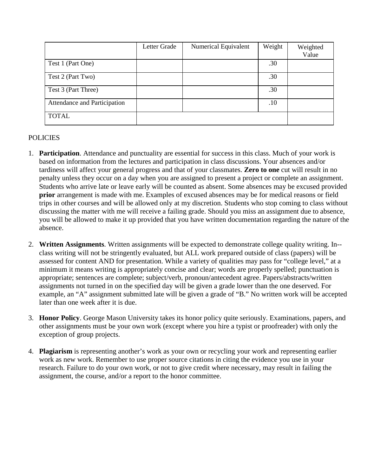|                              | Letter Grade | Numerical Equivalent | Weight | Weighted<br>Value |
|------------------------------|--------------|----------------------|--------|-------------------|
| Test 1 (Part One)            |              |                      | .30    |                   |
| Test 2 (Part Two)            |              |                      | .30    |                   |
| Test 3 (Part Three)          |              |                      | .30    |                   |
| Attendance and Participation |              |                      | .10    |                   |
| <b>TOTAL</b>                 |              |                      |        |                   |

# POLICIES

- 1. **Participation**. Attendance and punctuality are essential for success in this class. Much of your work is based on information from the lectures and participation in class discussions. Your absences and/or tardiness will affect your general progress and that of your classmates. **Zero to one** cut will result in no penalty unless they occur on a day when you are assigned to present a project or complete an assignment. Students who arrive late or leave early will be counted as absent. Some absences may be excused provided **prior** arrangement is made with me. Examples of excused absences may be for medical reasons or field trips in other courses and will be allowed only at my discretion. Students who stop coming to class without discussing the matter with me will receive a failing grade. Should you miss an assignment due to absence, you will be allowed to make it up provided that you have written documentation regarding the nature of the absence.
- 2. **Written Assignments**. Written assignments will be expected to demonstrate college quality writing. In- class writing will not be stringently evaluated, but ALL work prepared outside of class (papers) will be assessed for content AND for presentation. While a variety of qualities may pass for "college level," at a minimum it means writing is appropriately concise and clear; words are properly spelled; punctuation is appropriate; sentences are complete; subject/verb, pronoun/antecedent agree. Papers/abstracts/written assignments not turned in on the specified day will be given a grade lower than the one deserved. For example, an "A" assignment submitted late will be given a grade of "B." No written work will be accepted later than one week after it is due.
- 3. **Honor Policy**. George Mason University takes its honor policy quite seriously. Examinations, papers, and other assignments must be your own work (except where you hire a typist or proofreader) with only the exception of group projects.
- 4. **Plagiarism** is representing another's work as your own or recycling your work and representing earlier work as new work. Remember to use proper source citations in citing the evidence you use in your research. Failure to do your own work, or not to give credit where necessary, may result in failing the assignment, the course, and/or a report to the honor committee.